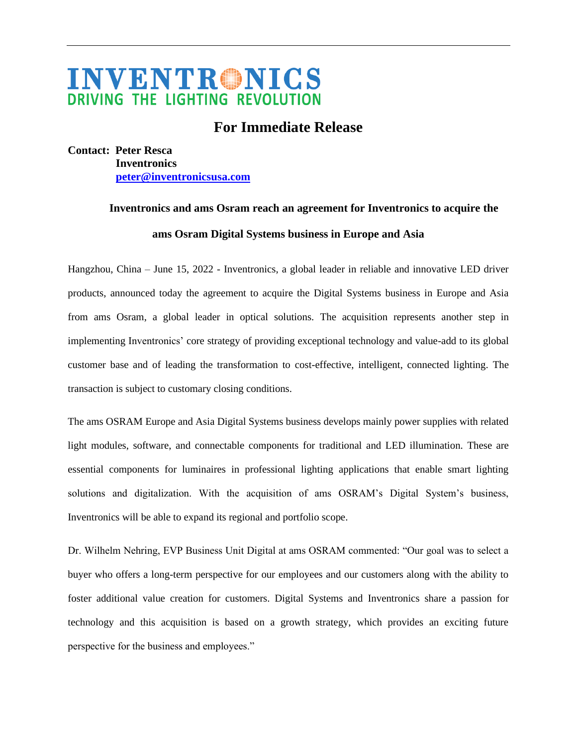## **INVENTRONICS** DRIVING THE LIGHTING REVOLUTION

## **For Immediate Release**

**Contact: Peter Resca Inventronics [peter@inventronicsusa.com](mailto:peter@inventronicsusa.com)**

## **Inventronics and ams Osram reach an agreement for Inventronics to acquire the ams Osram Digital Systems business in Europe and Asia**

Hangzhou, China – June 15, 2022 - Inventronics, a global leader in reliable and innovative LED driver products, announced today the agreement to acquire the Digital Systems business in Europe and Asia from ams Osram, a global leader in optical solutions. The acquisition represents another step in implementing Inventronics' core strategy of providing exceptional technology and value-add to its global customer base and of leading the transformation to cost-effective, intelligent, connected lighting. The transaction is subject to customary closing conditions.

The ams OSRAM Europe and Asia Digital Systems business develops mainly power supplies with related light modules, software, and connectable components for traditional and LED illumination. These are essential components for luminaires in professional lighting applications that enable smart lighting solutions and digitalization. With the acquisition of ams OSRAM's Digital System's business, Inventronics will be able to expand its regional and portfolio scope.

Dr. Wilhelm Nehring, EVP Business Unit Digital at ams OSRAM commented: "Our goal was to select a buyer who offers a long-term perspective for our employees and our customers along with the ability to foster additional value creation for customers. Digital Systems and Inventronics share a passion for technology and this acquisition is based on a growth strategy, which provides an exciting future perspective for the business and employees."